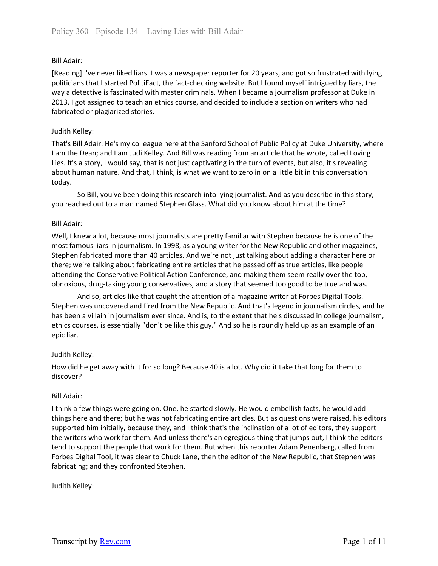[Reading] I've never liked liars. I was a newspaper reporter for 20 years, and got so frustrated with lying politicians that I started PolitiFact, the fact-checking website. But I found myself intrigued by liars, the way a detective is fascinated with master criminals. When I became a journalism professor at Duke in 2013, I got assigned to teach an ethics course, and decided to include a section on writers who had fabricated or plagiarized stories.

# Judith Kelley:

That's Bill Adair. He's my colleague here at the Sanford School of Public Policy at Duke University, where I am the Dean; and I am Judi Kelley. And Bill was reading from an article that he wrote, called Loving Lies. It's a story, I would say, that is not just captivating in the turn of events, but also, it's revealing about human nature. And that, I think, is what we want to zero in on a little bit in this conversation today.

So Bill, you've been doing this research into lying journalist. And as you describe in this story, you reached out to a man named Stephen Glass. What did you know about him at the time?

# Bill Adair:

Well, I knew a lot, because most journalists are pretty familiar with Stephen because he is one of the most famous liars in journalism. In 1998, as a young writer for the New Republic and other magazines, Stephen fabricated more than 40 articles. And we're not just talking about adding a character here or there; we're talking about fabricating entire articles that he passed off as true articles, like people attending the Conservative Political Action Conference, and making them seem really over the top, obnoxious, drug-taking young conservatives, and a story that seemed too good to be true and was.

And so, articles like that caught the attention of a magazine writer at Forbes Digital Tools. Stephen was uncovered and fired from the New Republic. And that's legend in journalism circles, and he has been a villain in journalism ever since. And is, to the extent that he's discussed in college journalism, ethics courses, is essentially "don't be like this guy." And so he is roundly held up as an example of an epic liar.

## Judith Kelley:

How did he get away with it for so long? Because 40 is a lot. Why did it take that long for them to discover?

## Bill Adair:

I think a few things were going on. One, he started slowly. He would embellish facts, he would add things here and there; but he was not fabricating entire articles. But as questions were raised, his editors supported him initially, because they, and I think that's the inclination of a lot of editors, they support the writers who work for them. And unless there's an egregious thing that jumps out, I think the editors tend to support the people that work for them. But when this reporter Adam Penenberg, called from Forbes Digital Tool, it was clear to Chuck Lane, then the editor of the New Republic, that Stephen was fabricating; and they confronted Stephen.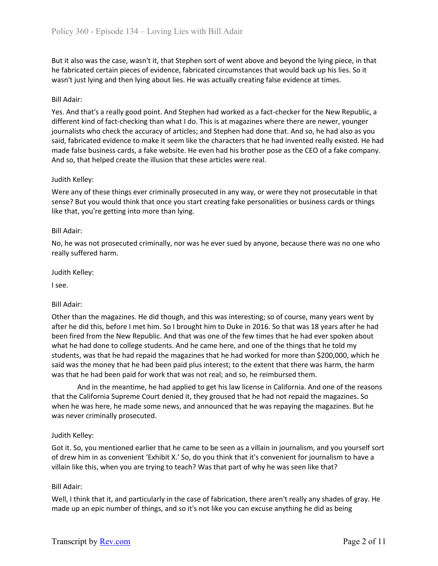But it also was the case, wasn't it, that Stephen sort of went above and beyond the lying piece, in that he fabricated certain pieces of evidence, fabricated circumstances that would back up his lies. So it wasn't just lying and then lying about lies. He was actually creating false evidence at times.

## Bill Adair:

Yes. And that's a really good point. And Stephen had worked as a fact-checker for the New Republic, a different kind of fact-checking than what I do. This is at magazines where there are newer, younger journalists who check the accuracy of articles; and Stephen had done that. And so, he had also as you said, fabricated evidence to make it seem like the characters that he had invented really existed. He had made false business cards, a fake website. He even had his brother pose as the CEO of a fake company. And so, that helped create the illusion that these articles were real.

#### Judith Kelley:

Were any of these things ever criminally prosecuted in any way, or were they not prosecutable in that sense? But you would think that once you start creating fake personalities or business cards or things like that, you're getting into more than lying.

#### Bill Adair:

No, he was not prosecuted criminally, nor was he ever sued by anyone, because there was no one who really suffered harm.

#### Judith Kelley:

I see.

## Bill Adair:

Other than the magazines. He did though, and this was interesting; so of course, many years went by after he did this, before I met him. So I brought him to Duke in 2016. So that was 18 years after he had been fired from the New Republic. And that was one of the few times that he had ever spoken about what he had done to college students. And he came here, and one of the things that he told my students, was that he had repaid the magazines that he had worked for more than \$200,000, which he said was the money that he had been paid plus interest; to the extent that there was harm, the harm was that he had been paid for work that was not real; and so, he reimbursed them.

And in the meantime, he had applied to get his law license in California. And one of the reasons that the California Supreme Court denied it, they groused that he had not repaid the magazines. So when he was here, he made some news, and announced that he was repaying the magazines. But he was never criminally prosecuted.

#### Judith Kelley:

Got it. So, you mentioned earlier that he came to be seen as a villain in journalism, and you yourself sort of drew him in as convenient 'Exhibit X.' So, do you think that it's convenient for journalism to have a villain like this, when you are trying to teach? Was that part of why he was seen like that?

#### Bill Adair:

Well, I think that it, and particularly in the case of fabrication, there aren't really any shades of gray. He made up an epic number of things, and so it's not like you can excuse anything he did as being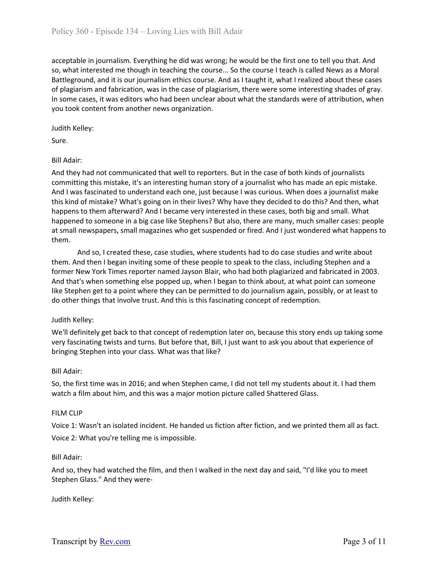acceptable in journalism. Everything he did was wrong; he would be the first one to tell you that. And so, what interested me though in teaching the course... So the course I teach is called News as a Moral Battleground, and it is our journalism ethics course. And as I taught it, what I realized about these cases of plagiarism and fabrication, was in the case of plagiarism, there were some interesting shades of gray. In some cases, it was editors who had been unclear about what the standards were of attribution, when you took content from another news organization.

Judith Kelley:

Sure.

# Bill Adair:

And they had not communicated that well to reporters. But in the case of both kinds of journalists committing this mistake, it's an interesting human story of a journalist who has made an epic mistake. And I was fascinated to understand each one, just because I was curious. When does a journalist make this kind of mistake? What's going on in their lives? Why have they decided to do this? And then, what happens to them afterward? And I became very interested in these cases, both big and small. What happened to someone in a big case like Stephens? But also, there are many, much smaller cases: people at small newspapers, small magazines who get suspended or fired. And I just wondered what happens to them.

And so, I created these, case studies, where students had to do case studies and write about them. And then I began inviting some of these people to speak to the class, including Stephen and a former New York Times reporter named Jayson Blair, who had both plagiarized and fabricated in 2003. And that's when something else popped up, when I began to think about, at what point can someone like Stephen get to a point where they can be permitted to do journalism again, possibly, or at least to do other things that involve trust. And this is this fascinating concept of redemption.

## Judith Kelley:

We'll definitely get back to that concept of redemption later on, because this story ends up taking some very fascinating twists and turns. But before that, Bill, I just want to ask you about that experience of bringing Stephen into your class. What was that like?

## Bill Adair:

So, the first time was in 2016; and when Stephen came, I did not tell my students about it. I had them watch a film about him, and this was a major motion picture called Shattered Glass.

## FILM CLIP

Voice 1: Wasn't an isolated incident. He handed us fiction after fiction, and we printed them all as fact. Voice 2: What you're telling me is impossible.

## Bill Adair:

And so, they had watched the film, and then I walked in the next day and said, "I'd like you to meet Stephen Glass." And they were-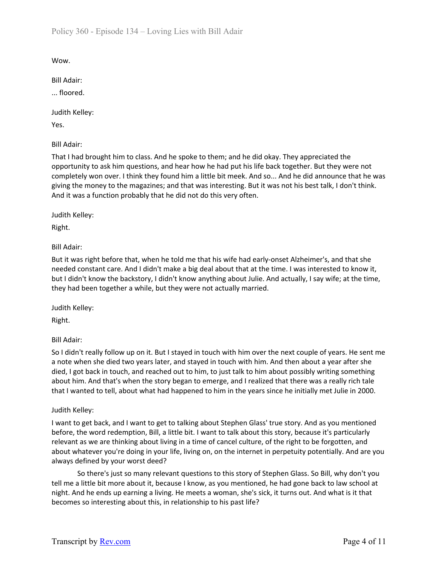Wow.

Bill Adair:

... floored.

Judith Kelley:

Yes.

Bill Adair:

That I had brought him to class. And he spoke to them; and he did okay. They appreciated the opportunity to ask him questions, and hear how he had put his life back together. But they were not completely won over. I think they found him a little bit meek. And so... And he did announce that he was giving the money to the magazines; and that was interesting. But it was not his best talk, I don't think. And it was a function probably that he did not do this very often.

Judith Kelley:

Right.

Bill Adair:

But it was right before that, when he told me that his wife had early-onset Alzheimer's, and that she needed constant care. And I didn't make a big deal about that at the time. I was interested to know it, but I didn't know the backstory, I didn't know anything about Julie. And actually, I say wife; at the time, they had been together a while, but they were not actually married.

Judith Kelley:

Right.

Bill Adair:

So I didn't really follow up on it. But I stayed in touch with him over the next couple of years. He sent me a note when she died two years later, and stayed in touch with him. And then about a year after she died, I got back in touch, and reached out to him, to just talk to him about possibly writing something about him. And that's when the story began to emerge, and I realized that there was a really rich tale that I wanted to tell, about what had happened to him in the years since he initially met Julie in 2000.

Judith Kelley:

I want to get back, and I want to get to talking about Stephen Glass' true story. And as you mentioned before, the word redemption, Bill, a little bit. I want to talk about this story, because it's particularly relevant as we are thinking about living in a time of cancel culture, of the right to be forgotten, and about whatever you're doing in your life, living on, on the internet in perpetuity potentially. And are you always defined by your worst deed?

So there's just so many relevant questions to this story of Stephen Glass. So Bill, why don't you tell me a little bit more about it, because I know, as you mentioned, he had gone back to law school at night. And he ends up earning a living. He meets a woman, she's sick, it turns out. And what is it that becomes so interesting about this, in relationship to his past life?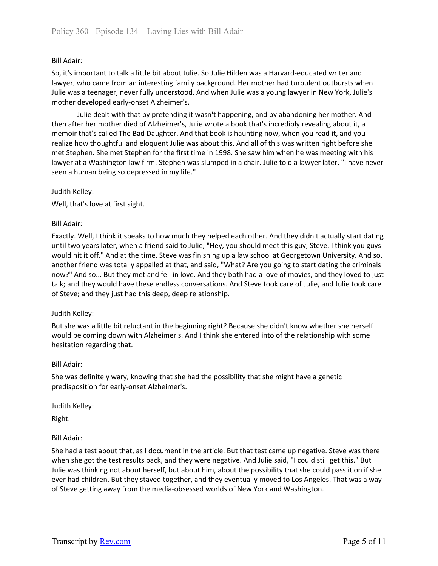So, it's important to talk a little bit about Julie. So Julie Hilden was a Harvard-educated writer and lawyer, who came from an interesting family background. Her mother had turbulent outbursts when Julie was a teenager, never fully understood. And when Julie was a young lawyer in New York, Julie's mother developed early-onset Alzheimer's.

Julie dealt with that by pretending it wasn't happening, and by abandoning her mother. And then after her mother died of Alzheimer's, Julie wrote a book that's incredibly revealing about it, a memoir that's called The Bad Daughter. And that book is haunting now, when you read it, and you realize how thoughtful and eloquent Julie was about this. And all of this was written right before she met Stephen. She met Stephen for the first time in 1998. She saw him when he was meeting with his lawyer at a Washington law firm. Stephen was slumped in a chair. Julie told a lawyer later, "I have never seen a human being so depressed in my life."

Judith Kelley:

Well, that's love at first sight.

#### Bill Adair:

Exactly. Well, I think it speaks to how much they helped each other. And they didn't actually start dating until two years later, when a friend said to Julie, "Hey, you should meet this guy, Steve. I think you guys would hit it off." And at the time, Steve was finishing up a law school at Georgetown University. And so, another friend was totally appalled at that, and said, "What? Are you going to start dating the criminals now?" And so... But they met and fell in love. And they both had a love of movies, and they loved to just talk; and they would have these endless conversations. And Steve took care of Julie, and Julie took care of Steve; and they just had this deep, deep relationship.

## Judith Kelley:

But she was a little bit reluctant in the beginning right? Because she didn't know whether she herself would be coming down with Alzheimer's. And I think she entered into of the relationship with some hesitation regarding that.

#### Bill Adair:

She was definitely wary, knowing that she had the possibility that she might have a genetic predisposition for early-onset Alzheimer's.

Judith Kelley:

Right.

## Bill Adair:

She had a test about that, as I document in the article. But that test came up negative. Steve was there when she got the test results back, and they were negative. And Julie said, "I could still get this." But Julie was thinking not about herself, but about him, about the possibility that she could pass it on if she ever had children. But they stayed together, and they eventually moved to Los Angeles. That was a way of Steve getting away from the media-obsessed worlds of New York and Washington.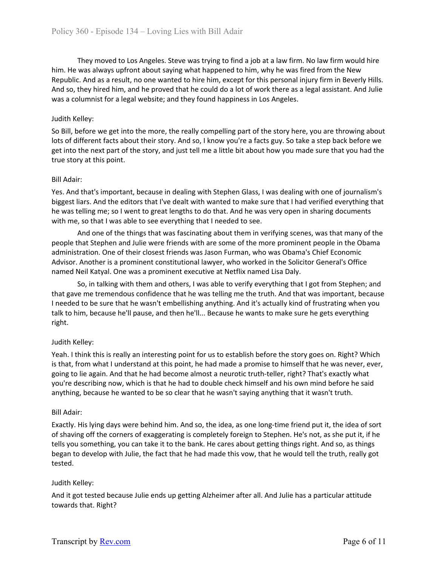They moved to Los Angeles. Steve was trying to find a job at a law firm. No law firm would hire him. He was always upfront about saying what happened to him, why he was fired from the New Republic. And as a result, no one wanted to hire him, except for this personal injury firm in Beverly Hills. And so, they hired him, and he proved that he could do a lot of work there as a legal assistant. And Julie was a columnist for a legal website; and they found happiness in Los Angeles.

# Judith Kelley:

So Bill, before we get into the more, the really compelling part of the story here, you are throwing about lots of different facts about their story. And so, I know you're a facts guy. So take a step back before we get into the next part of the story, and just tell me a little bit about how you made sure that you had the true story at this point.

## Bill Adair:

Yes. And that's important, because in dealing with Stephen Glass, I was dealing with one of journalism's biggest liars. And the editors that I've dealt with wanted to make sure that I had verified everything that he was telling me; so I went to great lengths to do that. And he was very open in sharing documents with me, so that I was able to see everything that I needed to see.

And one of the things that was fascinating about them in verifying scenes, was that many of the people that Stephen and Julie were friends with are some of the more prominent people in the Obama administration. One of their closest friends was Jason Furman, who was Obama's Chief Economic Advisor. Another is a prominent constitutional lawyer, who worked in the Solicitor General's Office named Neil Katyal. One was a prominent executive at Netflix named Lisa Daly.

So, in talking with them and others, I was able to verify everything that I got from Stephen; and that gave me tremendous confidence that he was telling me the truth. And that was important, because I needed to be sure that he wasn't embellishing anything. And it's actually kind of frustrating when you talk to him, because he'll pause, and then he'll... Because he wants to make sure he gets everything right.

## Judith Kelley:

Yeah. I think this is really an interesting point for us to establish before the story goes on. Right? Which is that, from what I understand at this point, he had made a promise to himself that he was never, ever, going to lie again. And that he had become almost a neurotic truth-teller, right? That's exactly what you're describing now, which is that he had to double check himself and his own mind before he said anything, because he wanted to be so clear that he wasn't saying anything that it wasn't truth.

## Bill Adair:

Exactly. His lying days were behind him. And so, the idea, as one long-time friend put it, the idea of sort of shaving off the corners of exaggerating is completely foreign to Stephen. He's not, as she put it, if he tells you something, you can take it to the bank. He cares about getting things right. And so, as things began to develop with Julie, the fact that he had made this vow, that he would tell the truth, really got tested.

## Judith Kelley:

And it got tested because Julie ends up getting Alzheimer after all. And Julie has a particular attitude towards that. Right?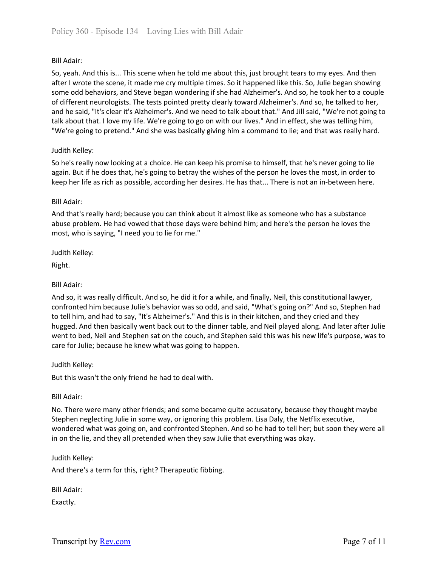So, yeah. And this is... This scene when he told me about this, just brought tears to my eyes. And then after I wrote the scene, it made me cry multiple times. So it happened like this. So, Julie began showing some odd behaviors, and Steve began wondering if she had Alzheimer's. And so, he took her to a couple of different neurologists. The tests pointed pretty clearly toward Alzheimer's. And so, he talked to her, and he said, "It's clear it's Alzheimer's. And we need to talk about that." And Jill said, "We're not going to talk about that. I love my life. We're going to go on with our lives." And in effect, she was telling him, "We're going to pretend." And she was basically giving him a command to lie; and that was really hard.

# Judith Kelley:

So he's really now looking at a choice. He can keep his promise to himself, that he's never going to lie again. But if he does that, he's going to betray the wishes of the person he loves the most, in order to keep her life as rich as possible, according her desires. He has that... There is not an in-between here.

## Bill Adair:

And that's really hard; because you can think about it almost like as someone who has a substance abuse problem. He had vowed that those days were behind him; and here's the person he loves the most, who is saying, "I need you to lie for me."

Judith Kelley:

Right.

# Bill Adair:

And so, it was really difficult. And so, he did it for a while, and finally, Neil, this constitutional lawyer, confronted him because Julie's behavior was so odd, and said, "What's going on?" And so, Stephen had to tell him, and had to say, "It's Alzheimer's." And this is in their kitchen, and they cried and they hugged. And then basically went back out to the dinner table, and Neil played along. And later after Julie went to bed, Neil and Stephen sat on the couch, and Stephen said this was his new life's purpose, was to care for Julie; because he knew what was going to happen.

Judith Kelley:

But this wasn't the only friend he had to deal with.

Bill Adair:

No. There were many other friends; and some became quite accusatory, because they thought maybe Stephen neglecting Julie in some way, or ignoring this problem. Lisa Daly, the Netflix executive, wondered what was going on, and confronted Stephen. And so he had to tell her; but soon they were all in on the lie, and they all pretended when they saw Julie that everything was okay.

## Judith Kelley:

And there's a term for this, right? Therapeutic fibbing.

Bill Adair:

Exactly.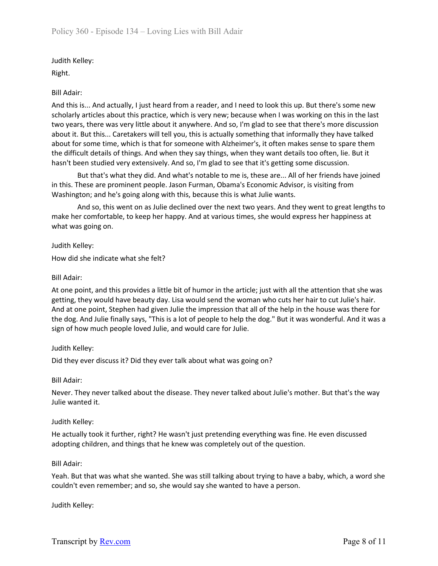Judith Kelley:

Right.

# Bill Adair:

And this is... And actually, I just heard from a reader, and I need to look this up. But there's some new scholarly articles about this practice, which is very new; because when I was working on this in the last two years, there was very little about it anywhere. And so, I'm glad to see that there's more discussion about it. But this... Caretakers will tell you, this is actually something that informally they have talked about for some time, which is that for someone with Alzheimer's, it often makes sense to spare them the difficult details of things. And when they say things, when they want details too often, lie. But it hasn't been studied very extensively. And so, I'm glad to see that it's getting some discussion.

But that's what they did. And what's notable to me is, these are... All of her friends have joined in this. These are prominent people. Jason Furman, Obama's Economic Advisor, is visiting from Washington; and he's going along with this, because this is what Julie wants.

And so, this went on as Julie declined over the next two years. And they went to great lengths to make her comfortable, to keep her happy. And at various times, she would express her happiness at what was going on.

Judith Kelley:

How did she indicate what she felt?

# Bill Adair:

At one point, and this provides a little bit of humor in the article; just with all the attention that she was getting, they would have beauty day. Lisa would send the woman who cuts her hair to cut Julie's hair. And at one point, Stephen had given Julie the impression that all of the help in the house was there for the dog. And Julie finally says, "This is a lot of people to help the dog." But it was wonderful. And it was a sign of how much people loved Julie, and would care for Julie.

# Judith Kelley:

Did they ever discuss it? Did they ever talk about what was going on?

Bill Adair:

Never. They never talked about the disease. They never talked about Julie's mother. But that's the way Julie wanted it.

# Judith Kelley:

He actually took it further, right? He wasn't just pretending everything was fine. He even discussed adopting children, and things that he knew was completely out of the question.

## Bill Adair:

Yeah. But that was what she wanted. She was still talking about trying to have a baby, which, a word she couldn't even remember; and so, she would say she wanted to have a person.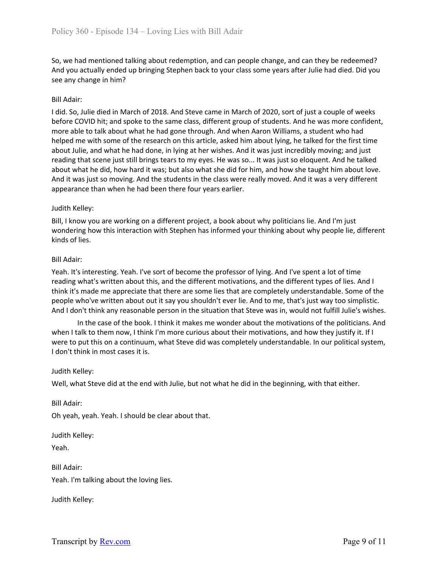So, we had mentioned talking about redemption, and can people change, and can they be redeemed? And you actually ended up bringing Stephen back to your class some years after Julie had died. Did you see any change in him?

## Bill Adair:

I did. So, Julie died in March of 2018. And Steve came in March of 2020, sort of just a couple of weeks before COVID hit; and spoke to the same class, different group of students. And he was more confident, more able to talk about what he had gone through. And when Aaron Williams, a student who had helped me with some of the research on this article, asked him about lying, he talked for the first time about Julie, and what he had done, in lying at her wishes. And it was just incredibly moving; and just reading that scene just still brings tears to my eyes. He was so... It was just so eloquent. And he talked about what he did, how hard it was; but also what she did for him, and how she taught him about love. And it was just so moving. And the students in the class were really moved. And it was a very different appearance than when he had been there four years earlier.

# Judith Kelley:

Bill, I know you are working on a different project, a book about why politicians lie. And I'm just wondering how this interaction with Stephen has informed your thinking about why people lie, different kinds of lies.

# Bill Adair:

Yeah. It's interesting. Yeah. I've sort of become the professor of lying. And I've spent a lot of time reading what's written about this, and the different motivations, and the different types of lies. And I think it's made me appreciate that there are some lies that are completely understandable. Some of the people who've written about out it say you shouldn't ever lie. And to me, that's just way too simplistic. And I don't think any reasonable person in the situation that Steve was in, would not fulfill Julie's wishes.

In the case of the book. I think it makes me wonder about the motivations of the politicians. And when I talk to them now, I think I'm more curious about their motivations, and how they justify it. If I were to put this on a continuum, what Steve did was completely understandable. In our political system, I don't think in most cases it is.

## Judith Kelley:

Well, what Steve did at the end with Julie, but not what he did in the beginning, with that either.

Bill Adair:

Oh yeah, yeah. Yeah. I should be clear about that.

Judith Kelley:

Yeah.

Bill Adair: Yeah. I'm talking about the loving lies.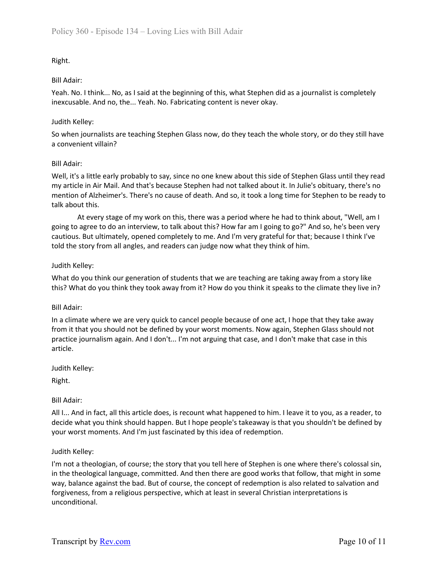# Right.

#### Bill Adair:

Yeah. No. I think... No, as I said at the beginning of this, what Stephen did as a journalist is completely inexcusable. And no, the... Yeah. No. Fabricating content is never okay.

#### Judith Kelley:

So when journalists are teaching Stephen Glass now, do they teach the whole story, or do they still have a convenient villain?

#### Bill Adair:

Well, it's a little early probably to say, since no one knew about this side of Stephen Glass until they read my article in Air Mail. And that's because Stephen had not talked about it. In Julie's obituary, there's no mention of Alzheimer's. There's no cause of death. And so, it took a long time for Stephen to be ready to talk about this.

At every stage of my work on this, there was a period where he had to think about, "Well, am I going to agree to do an interview, to talk about this? How far am I going to go?" And so, he's been very cautious. But ultimately, opened completely to me. And I'm very grateful for that; because I think I've told the story from all angles, and readers can judge now what they think of him.

## Judith Kelley:

What do you think our generation of students that we are teaching are taking away from a story like this? What do you think they took away from it? How do you think it speaks to the climate they live in?

## Bill Adair:

In a climate where we are very quick to cancel people because of one act, I hope that they take away from it that you should not be defined by your worst moments. Now again, Stephen Glass should not practice journalism again. And I don't... I'm not arguing that case, and I don't make that case in this article.

Judith Kelley:

Right.

## Bill Adair:

All I... And in fact, all this article does, is recount what happened to him. I leave it to you, as a reader, to decide what you think should happen. But I hope people's takeaway is that you shouldn't be defined by your worst moments. And I'm just fascinated by this idea of redemption.

#### Judith Kelley:

I'm not a theologian, of course; the story that you tell here of Stephen is one where there's colossal sin, in the theological language, committed. And then there are good works that follow, that might in some way, balance against the bad. But of course, the concept of redemption is also related to salvation and forgiveness, from a religious perspective, which at least in several Christian interpretations is unconditional.